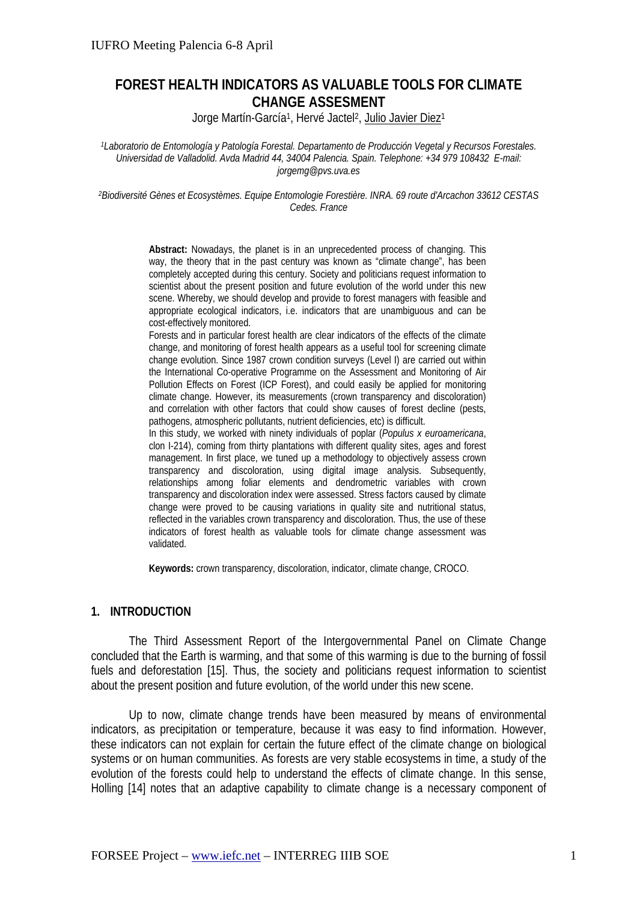# **FOREST HEALTH INDICATORS AS VALUABLE TOOLS FOR CLIMATE CHANGE ASSESMENT**

Jorge Martín-García<sup>1</sup>, Hervé Jactel<sup>2</sup>, Julio Javier Diez<sup>1</sup>

*1Laboratorio de Entomología y Patología Forestal. Departamento de Producción Vegetal y Recursos Forestales. Universidad de Valladolid. Avda Madrid 44, 34004 Palencia. Spain. Telephone: +34 979 108432 E-mail: jorgemg@pvs.uva.es* 

*2Biodiversité Gènes et Ecosystèmes. Equipe Entomologie Forestière. INRA. 69 route d'Arcachon 33612 CESTAS Cedes. France* 

> **Abstract:** Nowadays, the planet is in an unprecedented process of changing. This way, the theory that in the past century was known as "climate change", has been completely accepted during this century. Society and politicians request information to scientist about the present position and future evolution of the world under this new scene. Whereby, we should develop and provide to forest managers with feasible and appropriate ecological indicators, i.e. indicators that are unambiguous and can be cost-effectively monitored.

> Forests and in particular forest health are clear indicators of the effects of the climate change, and monitoring of forest health appears as a useful tool for screening climate change evolution. Since 1987 crown condition surveys (Level I) are carried out within the International Co-operative Programme on the Assessment and Monitoring of Air Pollution Effects on Forest (ICP Forest), and could easily be applied for monitoring climate change. However, its measurements (crown transparency and discoloration) and correlation with other factors that could show causes of forest decline (pests, pathogens, atmospheric pollutants, nutrient deficiencies, etc) is difficult.

> In this study, we worked with ninety individuals of poplar (*Populus x euroamericana*, clon I-214), coming from thirty plantations with different quality sites, ages and forest management. In first place, we tuned up a methodology to objectively assess crown transparency and discoloration, using digital image analysis. Subsequently, relationships among foliar elements and dendrometric variables with crown transparency and discoloration index were assessed. Stress factors caused by climate change were proved to be causing variations in quality site and nutritional status, reflected in the variables crown transparency and discoloration. Thus, the use of these indicators of forest health as valuable tools for climate change assessment was validated.

**Keywords:** crown transparency, discoloration, indicator, climate change, CROCO.

#### **1. INTRODUCTION**

The Third Assessment Report of the Intergovernmental Panel on Climate Change concluded that the Earth is warming, and that some of this warming is due to the burning of fossil fuels and deforestation [15]. Thus, the society and politicians request information to scientist about the present position and future evolution, of the world under this new scene.

Up to now, climate change trends have been measured by means of environmental indicators, as precipitation or temperature, because it was easy to find information. However, these indicators can not explain for certain the future effect of the climate change on biological systems or on human communities. As forests are very stable ecosystems in time, a study of the evolution of the forests could help to understand the effects of climate change. In this sense, Holling [14] notes that an adaptive capability to climate change is a necessary component of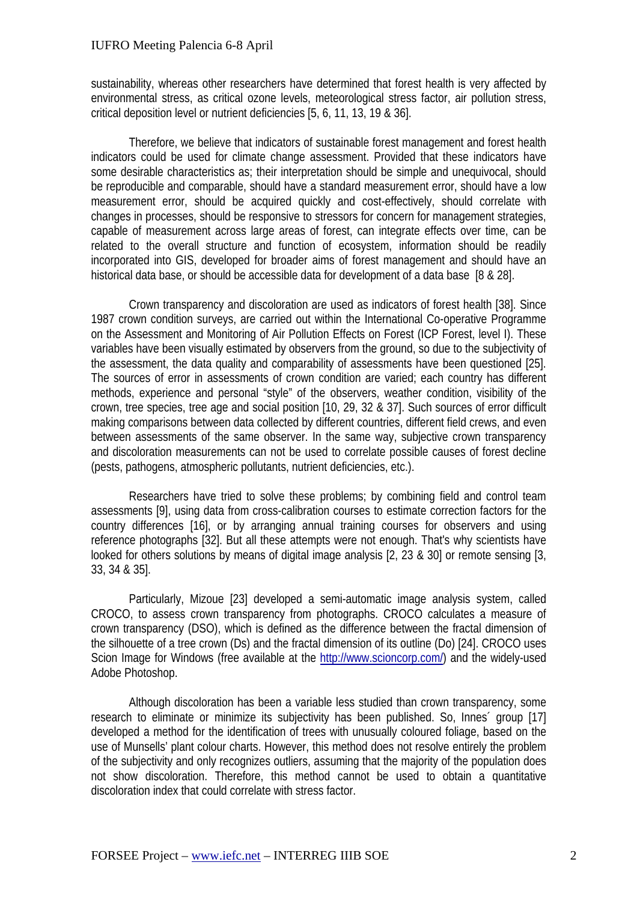sustainability, whereas other researchers have determined that forest health is very affected by environmental stress, as critical ozone levels, meteorological stress factor, air pollution stress, critical deposition level or nutrient deficiencies [5, 6, 11, 13, 19 & 36].

Therefore, we believe that indicators of sustainable forest management and forest health indicators could be used for climate change assessment. Provided that these indicators have some desirable characteristics as; their interpretation should be simple and unequivocal, should be reproducible and comparable, should have a standard measurement error, should have a low measurement error, should be acquired quickly and cost-effectively, should correlate with changes in processes, should be responsive to stressors for concern for management strategies, capable of measurement across large areas of forest, can integrate effects over time, can be related to the overall structure and function of ecosystem, information should be readily incorporated into GIS, developed for broader aims of forest management and should have an historical data base, or should be accessible data for development of a data base [8 & 28].

Crown transparency and discoloration are used as indicators of forest health [38]. Since 1987 crown condition surveys, are carried out within the International Co-operative Programme on the Assessment and Monitoring of Air Pollution Effects on Forest (ICP Forest, level I). These variables have been visually estimated by observers from the ground, so due to the subjectivity of the assessment, the data quality and comparability of assessments have been questioned [25]. The sources of error in assessments of crown condition are varied; each country has different methods, experience and personal "style" of the observers, weather condition, visibility of the crown, tree species, tree age and social position [10, 29, 32 & 37]. Such sources of error difficult making comparisons between data collected by different countries, different field crews, and even between assessments of the same observer. In the same way, subjective crown transparency and discoloration measurements can not be used to correlate possible causes of forest decline (pests, pathogens, atmospheric pollutants, nutrient deficiencies, etc.).

Researchers have tried to solve these problems; by combining field and control team assessments [9], using data from cross-calibration courses to estimate correction factors for the country differences [16], or by arranging annual training courses for observers and using reference photographs [32]. But all these attempts were not enough. That's why scientists have looked for others solutions by means of digital image analysis [2, 23 & 30] or remote sensing [3, 33, 34 & 35].

Particularly, Mizoue [23] developed a semi-automatic image analysis system, called CROCO, to assess crown transparency from photographs. CROCO calculates a measure of crown transparency (DSO), which is defined as the difference between the fractal dimension of the silhouette of a tree crown (Ds) and the fractal dimension of its outline (Do) [24]. CROCO uses Scion Image for Windows (free available at the http://www.scioncorp.com/) and the widely-used Adobe Photoshop.

Although discoloration has been a variable less studied than crown transparency, some research to eliminate or minimize its subjectivity has been published. So, Innes´ group [17] developed a method for the identification of trees with unusually coloured foliage, based on the use of Munsells' plant colour charts. However, this method does not resolve entirely the problem of the subjectivity and only recognizes outliers, assuming that the majority of the population does not show discoloration. Therefore, this method cannot be used to obtain a quantitative discoloration index that could correlate with stress factor.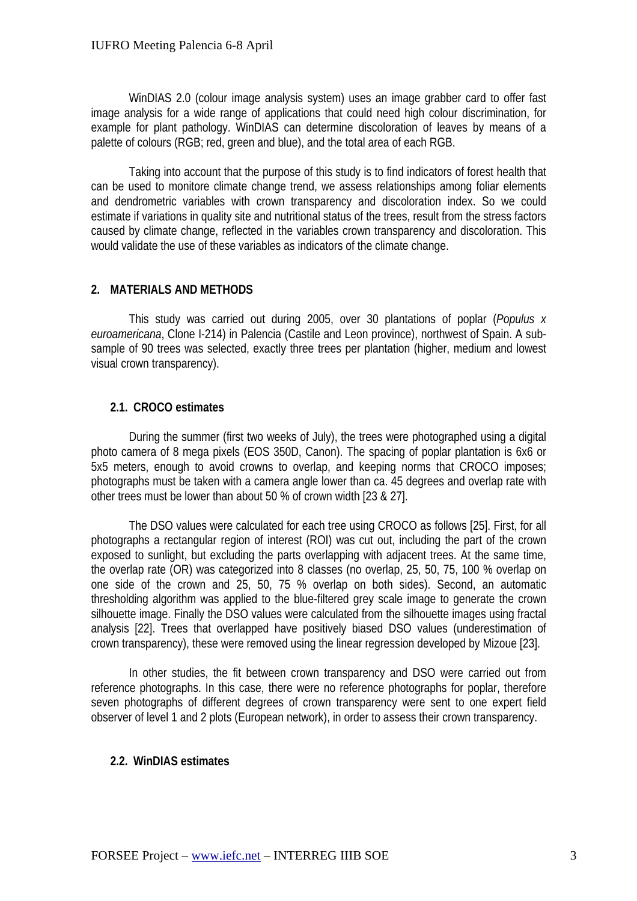WinDIAS 2.0 (colour image analysis system) uses an image grabber card to offer fast image analysis for a wide range of applications that could need high colour discrimination, for example for plant pathology. WinDIAS can determine discoloration of leaves by means of a palette of colours (RGB; red, green and blue), and the total area of each RGB.

Taking into account that the purpose of this study is to find indicators of forest health that can be used to monitore climate change trend, we assess relationships among foliar elements and dendrometric variables with crown transparency and discoloration index. So we could estimate if variations in quality site and nutritional status of the trees, result from the stress factors caused by climate change, reflected in the variables crown transparency and discoloration. This would validate the use of these variables as indicators of the climate change.

## **2. MATERIALS AND METHODS**

This study was carried out during 2005, over 30 plantations of poplar (*Populus x euroamericana*, Clone I-214) in Palencia (Castile and Leon province), northwest of Spain. A subsample of 90 trees was selected, exactly three trees per plantation (higher, medium and lowest visual crown transparency).

## **2.1. CROCO estimates**

During the summer (first two weeks of July), the trees were photographed using a digital photo camera of 8 mega pixels (EOS 350D, Canon). The spacing of poplar plantation is 6x6 or 5x5 meters, enough to avoid crowns to overlap, and keeping norms that CROCO imposes; photographs must be taken with a camera angle lower than ca. 45 degrees and overlap rate with other trees must be lower than about 50 % of crown width [23 & 27].

The DSO values were calculated for each tree using CROCO as follows [25]. First, for all photographs a rectangular region of interest (ROI) was cut out, including the part of the crown exposed to sunlight, but excluding the parts overlapping with adjacent trees. At the same time, the overlap rate (OR) was categorized into 8 classes (no overlap, 25, 50, 75, 100 % overlap on one side of the crown and 25, 50, 75 % overlap on both sides). Second, an automatic thresholding algorithm was applied to the blue-filtered grey scale image to generate the crown silhouette image. Finally the DSO values were calculated from the silhouette images using fractal analysis [22]. Trees that overlapped have positively biased DSO values (underestimation of crown transparency), these were removed using the linear regression developed by Mizoue [23].

In other studies, the fit between crown transparency and DSO were carried out from reference photographs. In this case, there were no reference photographs for poplar, therefore seven photographs of different degrees of crown transparency were sent to one expert field observer of level 1 and 2 plots (European network), in order to assess their crown transparency.

## **2.2. WinDIAS estimates**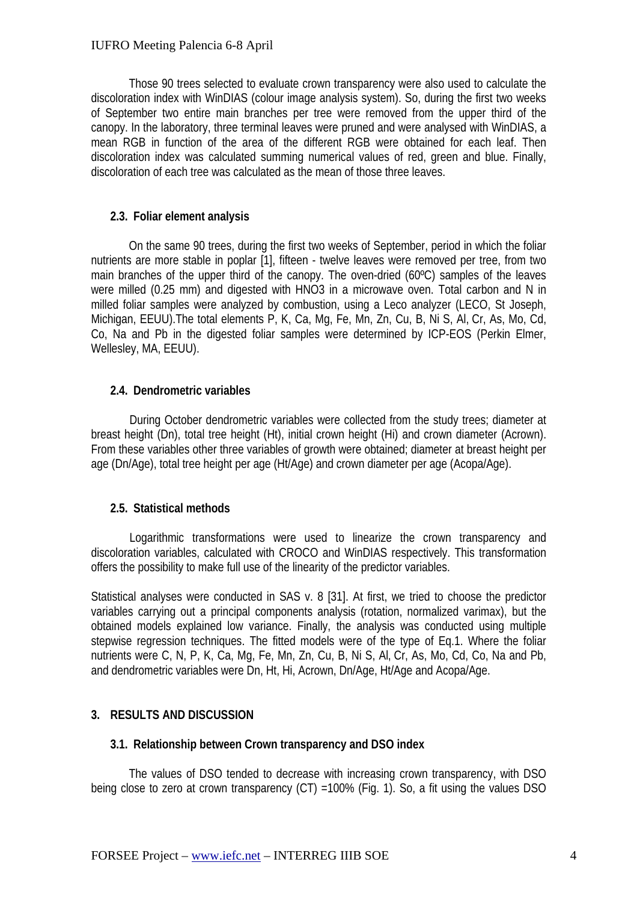Those 90 trees selected to evaluate crown transparency were also used to calculate the discoloration index with WinDIAS (colour image analysis system). So, during the first two weeks of September two entire main branches per tree were removed from the upper third of the canopy. In the laboratory, three terminal leaves were pruned and were analysed with WinDIAS, a mean RGB in function of the area of the different RGB were obtained for each leaf. Then discoloration index was calculated summing numerical values of red, green and blue. Finally, discoloration of each tree was calculated as the mean of those three leaves.

## **2.3. Foliar element analysis**

On the same 90 trees, during the first two weeks of September, period in which the foliar nutrients are more stable in poplar [1], fifteen - twelve leaves were removed per tree, from two main branches of the upper third of the canopy. The oven-dried (60ºC) samples of the leaves were milled (0.25 mm) and digested with HNO3 in a microwave oven. Total carbon and N in milled foliar samples were analyzed by combustion, using a Leco analyzer (LECO, St Joseph, Michigan, EEUU).The total elements P, K, Ca, Mg, Fe, Mn, Zn, Cu, B, Ni S, Al, Cr, As, Mo, Cd, Co, Na and Pb in the digested foliar samples were determined by ICP-EOS (Perkin Elmer, Wellesley, MA, EEUU).

# **2.4. Dendrometric variables**

During October dendrometric variables were collected from the study trees; diameter at breast height (Dn), total tree height (Ht), initial crown height (Hi) and crown diameter (Acrown). From these variables other three variables of growth were obtained; diameter at breast height per age (Dn/Age), total tree height per age (Ht/Age) and crown diameter per age (Acopa/Age).

## **2.5. Statistical methods**

Logarithmic transformations were used to linearize the crown transparency and discoloration variables, calculated with CROCO and WinDIAS respectively. This transformation offers the possibility to make full use of the linearity of the predictor variables.

Statistical analyses were conducted in SAS v. 8 [31]. At first, we tried to choose the predictor variables carrying out a principal components analysis (rotation, normalized varimax), but the obtained models explained low variance. Finally, the analysis was conducted using multiple stepwise regression techniques. The fitted models were of the type of Eq.1. Where the foliar nutrients were C, N, P, K, Ca, Mg, Fe, Mn, Zn, Cu, B, Ni S, Al, Cr, As, Mo, Cd, Co, Na and Pb, and dendrometric variables were Dn, Ht, Hi, Acrown, Dn/Age, Ht/Age and Acopa/Age.

## **3. RESULTS AND DISCUSSION**

## **3.1. Relationship between Crown transparency and DSO index**

The values of DSO tended to decrease with increasing crown transparency, with DSO being close to zero at crown transparency (CT) = 100% (Fig. 1). So, a fit using the values DSO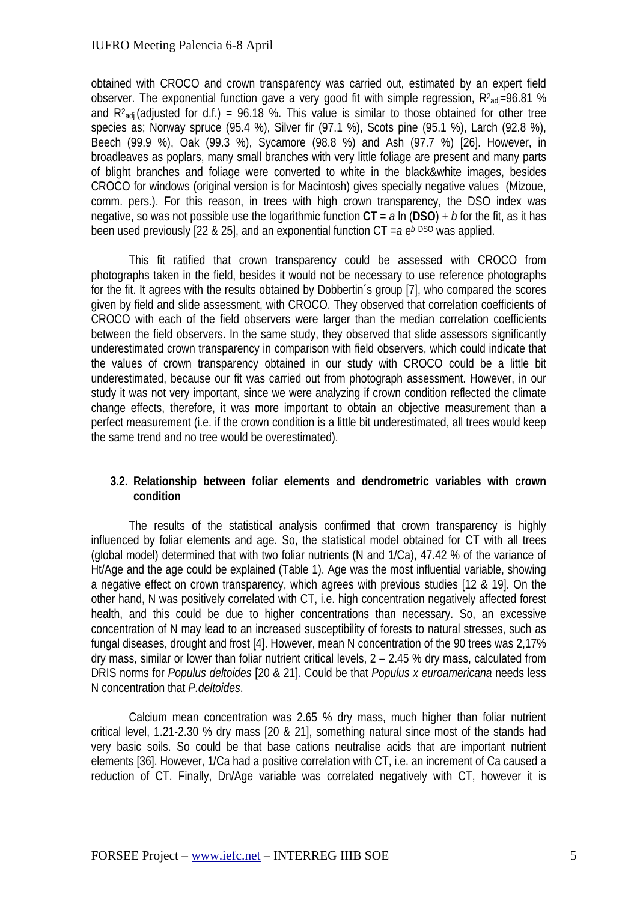obtained with CROCO and crown transparency was carried out, estimated by an expert field observer. The exponential function gave a very good fit with simple regression,  $R^2$ <sub>adj</sub>=96.81 % and  $R^2$ <sub>adj</sub> (adjusted for d.f.) = 96.18 %. This value is similar to those obtained for other tree species as; Norway spruce (95.4 %), Silver fir (97.1 %), Scots pine (95.1 %), Larch (92.8 %), Beech (99.9 %), Oak (99.3 %), Sycamore (98.8 %) and Ash (97.7 %) [26]. However, in broadleaves as poplars, many small branches with very little foliage are present and many parts of blight branches and foliage were converted to white in the black&white images, besides CROCO for windows (original version is for Macintosh) gives specially negative values (Mizoue, comm. pers.). For this reason, in trees with high crown transparency, the DSO index was negative, so was not possible use the logarithmic function **CT** = *a* ln (**DSO**) + *b* for the fit, as it has been used previously [22 & 25], and an exponential function  $CT = a e^{b}$  DSO was applied.

This fit ratified that crown transparency could be assessed with CROCO from photographs taken in the field, besides it would not be necessary to use reference photographs for the fit. It agrees with the results obtained by Dobbertin´s group [7], who compared the scores given by field and slide assessment, with CROCO. They observed that correlation coefficients of CROCO with each of the field observers were larger than the median correlation coefficients between the field observers. In the same study, they observed that slide assessors significantly underestimated crown transparency in comparison with field observers, which could indicate that the values of crown transparency obtained in our study with CROCO could be a little bit underestimated, because our fit was carried out from photograph assessment. However, in our study it was not very important, since we were analyzing if crown condition reflected the climate change effects, therefore, it was more important to obtain an objective measurement than a perfect measurement (i.e. if the crown condition is a little bit underestimated, all trees would keep the same trend and no tree would be overestimated).

#### **3.2. Relationship between foliar elements and dendrometric variables with crown condition**

The results of the statistical analysis confirmed that crown transparency is highly influenced by foliar elements and age. So, the statistical model obtained for CT with all trees (global model) determined that with two foliar nutrients (N and 1/Ca), 47.42 % of the variance of Ht/Age and the age could be explained (Table 1). Age was the most influential variable, showing a negative effect on crown transparency, which agrees with previous studies [12 & 19]. On the other hand, N was positively correlated with CT, i.e. high concentration negatively affected forest health, and this could be due to higher concentrations than necessary. So, an excessive concentration of N may lead to an increased susceptibility of forests to natural stresses, such as fungal diseases, drought and frost [4]. However, mean N concentration of the 90 trees was 2,17% dry mass, similar or lower than foliar nutrient critical levels, 2 – 2.45 % dry mass, calculated from DRIS norms for *Populus deltoides* [20 & 21]. Could be that *Populus x euroamericana* needs less N concentration that *P.deltoides*.

Calcium mean concentration was 2.65 % dry mass, much higher than foliar nutrient critical level, 1.21-2.30 % dry mass [20 & 21], something natural since most of the stands had very basic soils. So could be that base cations neutralise acids that are important nutrient elements [36]. However, 1/Ca had a positive correlation with CT, i.e. an increment of Ca caused a reduction of CT. Finally, Dn/Age variable was correlated negatively with CT, however it is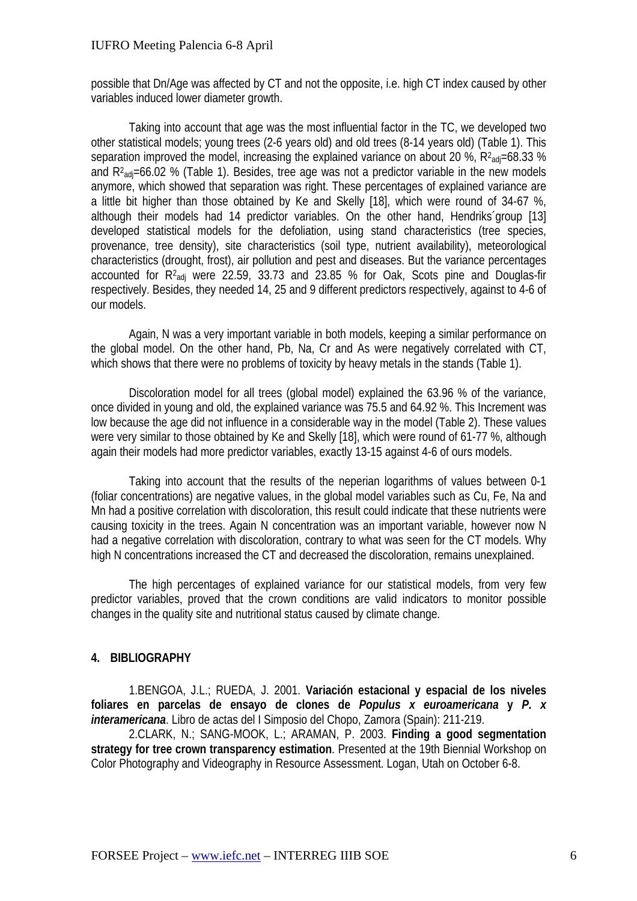possible that Dn/Age was affected by CT and not the opposite, i.e. high CT index caused by other variables induced lower diameter growth.

Taking into account that age was the most influential factor in the TC, we developed two other statistical models; young trees (2-6 years old) and old trees (8-14 years old) (Table 1). This separation improved the model, increasing the explained variance on about 20 %,  $R^2$ <sub>adj</sub>=68.33 % and  $R^2$ <sub>adj</sub>=66.02 % (Table 1). Besides, tree age was not a predictor variable in the new models anymore, which showed that separation was right. These percentages of explained variance are a little bit higher than those obtained by Ke and Skelly [18], which were round of 34-67 %, although their models had 14 predictor variables. On the other hand, Hendriks´group [13] developed statistical models for the defoliation, using stand characteristics (tree species, provenance, tree density), site characteristics (soil type, nutrient availability), meteorological characteristics (drought, frost), air pollution and pest and diseases. But the variance percentages accounted for  $R^2$ <sub>adj</sub> were 22.59, 33.73 and 23.85 % for Oak, Scots pine and Douglas-fir respectively. Besides, they needed 14, 25 and 9 different predictors respectively, against to 4-6 of our models.

Again, N was a very important variable in both models, keeping a similar performance on the global model. On the other hand, Pb, Na, Cr and As were negatively correlated with CT, which shows that there were no problems of toxicity by heavy metals in the stands (Table 1).

Discoloration model for all trees (global model) explained the 63.96 % of the variance, once divided in young and old, the explained variance was 75.5 and 64.92 %. This Increment was low because the age did not influence in a considerable way in the model (Table 2). These values were very similar to those obtained by Ke and Skelly [18], which were round of 61-77 %, although again their models had more predictor variables, exactly 13-15 against 4-6 of ours models.

Taking into account that the results of the neperian logarithms of values between 0-1 (foliar concentrations) are negative values, in the global model variables such as Cu, Fe, Na and Mn had a positive correlation with discoloration, this result could indicate that these nutrients were causing toxicity in the trees. Again N concentration was an important variable, however now N had a negative correlation with discoloration, contrary to what was seen for the CT models. Why high N concentrations increased the CT and decreased the discoloration, remains unexplained.

The high percentages of explained variance for our statistical models, from very few predictor variables, proved that the crown conditions are valid indicators to monitor possible changes in the quality site and nutritional status caused by climate change.

## **4. BIBLIOGRAPHY**

1.BENGOA, J.L.; RUEDA, J. 2001. **Variación estacional y espacial de los niveles foliares en parcelas de ensayo de clones de** *Populus x euroamericana* **y** *P. x interamericana*. Libro de actas del I Simposio del Chopo, Zamora (Spain): 211-219.

2.CLARK, N.; SANG-MOOK, L.; ARAMAN, P. 2003. **Finding a good segmentation strategy for tree crown transparency estimation**. Presented at the 19th Biennial Workshop on Color Photography and Videography in Resource Assessment. Logan, Utah on October 6-8.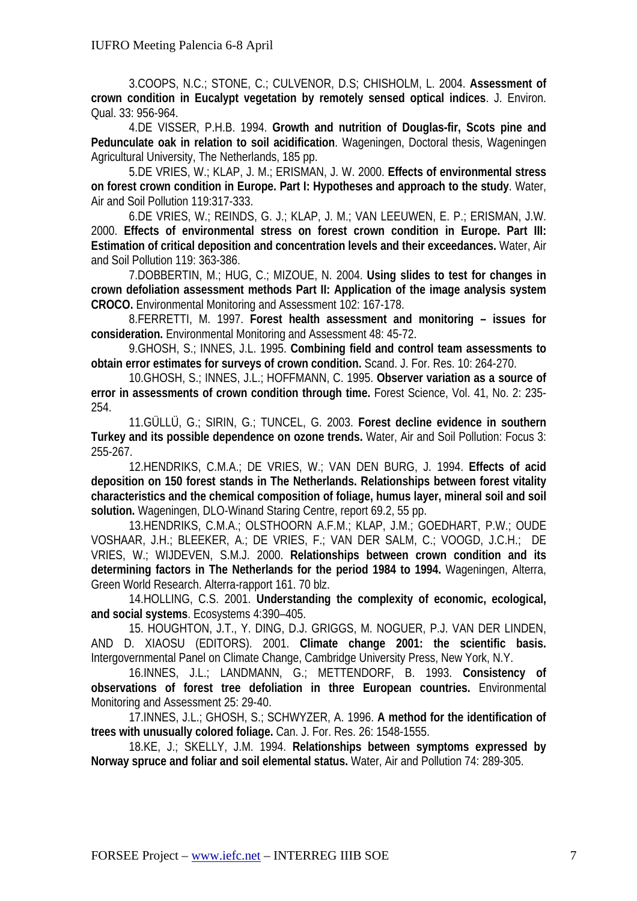3.COOPS, N.C.; STONE, C.; CULVENOR, D.S; CHISHOLM, L. 2004. **Assessment of crown condition in Eucalypt vegetation by remotely sensed optical indices**. J. Environ. Qual. 33: 956-964.

4.DE VISSER, P.H.B. 1994. **Growth and nutrition of Douglas-fir, Scots pine and Pedunculate oak in relation to soil acidification**. Wageningen, Doctoral thesis, Wageningen Agricultural University, The Netherlands, 185 pp.

5.DE VRIES, W.; KLAP, J. M.; ERISMAN, J. W. 2000. **Effects of environmental stress on forest crown condition in Europe. Part I: Hypotheses and approach to the study**. Water, Air and Soil Pollution 119:317-333.

6.DE VRIES, W.; REINDS, G. J.; KLAP, J. M.; VAN LEEUWEN, E. P.; ERISMAN, J.W. 2000. **Effects of environmental stress on forest crown condition in Europe. Part III: Estimation of critical deposition and concentration levels and their exceedances.** Water, Air and Soil Pollution 119: 363-386.

7.DOBBERTIN, M.; HUG, C.; MIZOUE, N. 2004. **Using slides to test for changes in crown defoliation assessment methods Part II: Application of the image analysis system CROCO.** Environmental Monitoring and Assessment 102: 167-178.

8.FERRETTI, M. 1997. **Forest health assessment and monitoring – issues for consideration.** Environmental Monitoring and Assessment 48: 45-72.

9.GHOSH, S.; INNES, J.L. 1995. **Combining field and control team assessments to obtain error estimates for surveys of crown condition.** Scand. J. For. Res. 10: 264-270.

10.GHOSH, S.; INNES, J.L.; HOFFMANN, C. 1995. **Observer variation as a source of error in assessments of crown condition through time.** Forest Science, Vol. 41, No. 2: 235- 254.

11.GÜLLÜ, G.; SIRIN, G.; TUNCEL, G. 2003. **Forest decline evidence in southern Turkey and its possible dependence on ozone trends.** Water, Air and Soil Pollution: Focus 3: 255-267.

12.HENDRIKS, C.M.A.; DE VRIES, W.; VAN DEN BURG, J. 1994. **Effects of acid deposition on 150 forest stands in The Netherlands. Relationships between forest vitality characteristics and the chemical composition of foliage, humus layer, mineral soil and soil solution.** Wageningen, DLO-Winand Staring Centre, report 69.2, 55 pp.

13.HENDRIKS, C.M.A.; OLSTHOORN A.F.M.; KLAP, J.M.; GOEDHART, P.W.; OUDE VOSHAAR, J.H.; BLEEKER, A.; DE VRIES, F.; VAN DER SALM, C.; VOOGD, J.C.H.; DE VRIES, W.; WIJDEVEN, S.M.J. 2000. **Relationships between crown condition and its determining factors in The Netherlands for the period 1984 to 1994.** Wageningen, Alterra, Green World Research. Alterra-rapport 161. 70 blz.

14.HOLLING, C.S. 2001. **Understanding the complexity of economic, ecological, and social systems**. Ecosystems 4:390–405.

15. HOUGHTON, J.T., Y. DING, D.J. GRIGGS, M. NOGUER, P.J. VAN DER LINDEN, AND D. XIAOSU (EDITORS). 2001. **Climate change 2001: the scientific basis.** Intergovernmental Panel on Climate Change, Cambridge University Press, New York, N.Y.

16.INNES, J.L.; LANDMANN, G.; METTENDORF, B. 1993. **Consistency of observations of forest tree defoliation in three European countries.** Environmental Monitoring and Assessment 25: 29-40.

17.INNES, J.L.; GHOSH, S.; SCHWYZER, A. 1996. **A method for the identification of trees with unusually colored foliage.** Can. J. For. Res. 26: 1548-1555.

18.KE, J.; SKELLY, J.M. 1994. **Relationships between symptoms expressed by Norway spruce and foliar and soil elemental status.** Water, Air and Pollution 74: 289-305.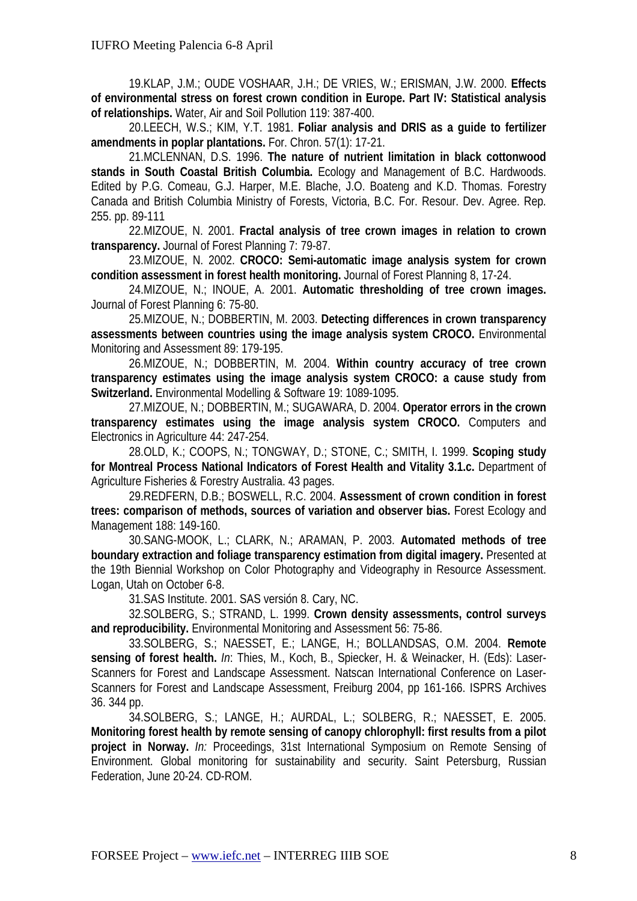19.KLAP, J.M.; OUDE VOSHAAR, J.H.; DE VRIES, W.; ERISMAN, J.W. 2000. **Effects of environmental stress on forest crown condition in Europe. Part IV: Statistical analysis of relationships.** Water, Air and Soil Pollution 119: 387-400.

20.LEECH, W.S.; KIM, Y.T. 1981. **Foliar analysis and DRIS as a guide to fertilizer amendments in poplar plantations.** For. Chron. 57(1): 17-21.

21.MCLENNAN, D.S. 1996. **The nature of nutrient limitation in black cottonwood stands in South Coastal British Columbia.** Ecology and Management of B.C. Hardwoods. Edited by P.G. Comeau, G.J. Harper, M.E. Blache, J.O. Boateng and K.D. Thomas. Forestry Canada and British Columbia Ministry of Forests, Victoria, B.C. For. Resour. Dev. Agree. Rep. 255. pp. 89-111

22.MIZOUE, N. 2001. **Fractal analysis of tree crown images in relation to crown transparency.** Journal of Forest Planning 7: 79-87.

23.MIZOUE, N. 2002. **CROCO: Semi-automatic image analysis system for crown condition assessment in forest health monitoring.** Journal of Forest Planning 8, 17-24.

24.MIZOUE, N.; INOUE, A. 2001. **Automatic thresholding of tree crown images.** Journal of Forest Planning 6: 75-80.

25.MIZOUE, N.; DOBBERTIN, M. 2003. **Detecting differences in crown transparency assessments between countries using the image analysis system CROCO.** Environmental Monitoring and Assessment 89: 179-195.

26.MIZOUE, N.; DOBBERTIN, M. 2004. **Within country accuracy of tree crown transparency estimates using the image analysis system CROCO: a cause study from Switzerland.** Environmental Modelling & Software 19: 1089-1095.

27.MIZOUE, N.; DOBBERTIN, M.; SUGAWARA, D. 2004. **Operator errors in the crown transparency estimates using the image analysis system CROCO.** Computers and Electronics in Agriculture 44: 247-254.

28.OLD, K.; COOPS, N.; TONGWAY, D.; STONE, C.; SMITH, I. 1999. **Scoping study for Montreal Process National Indicators of Forest Health and Vitality 3.1.c.** Department of Agriculture Fisheries & Forestry Australia. 43 pages.

29.REDFERN, D.B.; BOSWELL, R.C. 2004. **Assessment of crown condition in forest trees: comparison of methods, sources of variation and observer bias.** Forest Ecology and Management 188: 149-160.

30.SANG-MOOK, L.; CLARK, N.; ARAMAN, P. 2003. **Automated methods of tree boundary extraction and foliage transparency estimation from digital imagery.** Presented at the 19th Biennial Workshop on Color Photography and Videography in Resource Assessment. Logan, Utah on October 6-8.

31.SAS Institute. 2001. SAS versión 8. Cary, NC.

32.SOLBERG, S.; STRAND, L. 1999. **Crown density assessments, control surveys and reproducibility.** Environmental Monitoring and Assessment 56: 75-86.

33.SOLBERG, S.; NAESSET, E.; LANGE, H.; BOLLANDSAS, O.M. 2004. **Remote sensing of forest health.** *In*: Thies, M., Koch, B., Spiecker, H. & Weinacker, H. (Eds): Laser-Scanners for Forest and Landscape Assessment. Natscan International Conference on Laser-Scanners for Forest and Landscape Assessment, Freiburg 2004, pp 161-166. ISPRS Archives 36. 344 pp.

34.SOLBERG, S.; LANGE, H.; AURDAL, L.; SOLBERG, R.; NAESSET, E. 2005. **Monitoring forest health by remote sensing of canopy chlorophyll: first results from a pilot project in Norway.** *In:* Proceedings, 31st International Symposium on Remote Sensing of Environment. Global monitoring for sustainability and security. Saint Petersburg, Russian Federation, June 20-24. CD-ROM.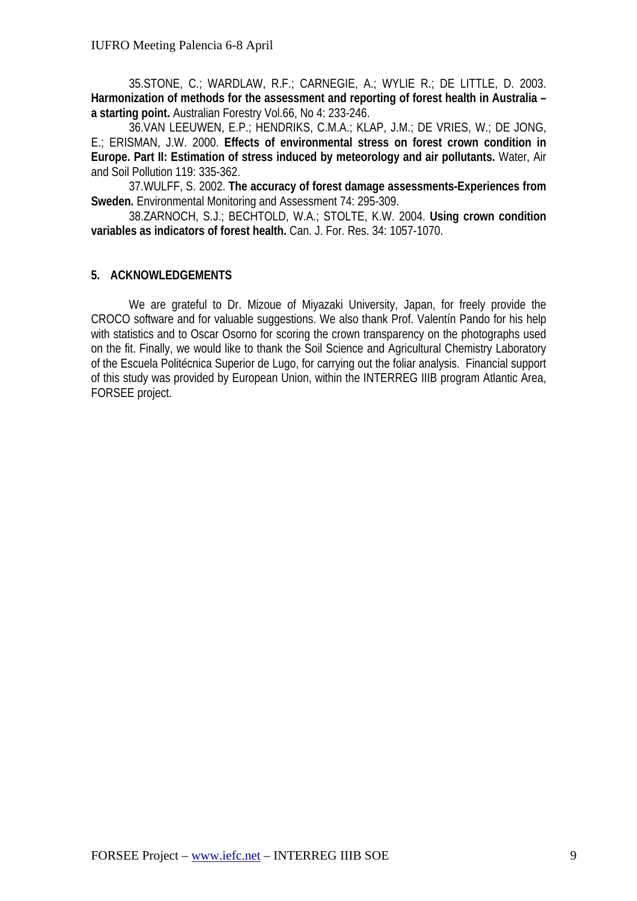35.STONE, C.; WARDLAW, R.F.; CARNEGIE, A.; WYLIE R.; DE LITTLE, D. 2003. **Harmonization of methods for the assessment and reporting of forest health in Australia – a starting point.** Australian Forestry Vol.66, No 4: 233-246.

36.VAN LEEUWEN, E.P.; HENDRIKS, C.M.A.; KLAP, J.M.; DE VRIES, W.; DE JONG, E.; ERISMAN, J.W. 2000. **Effects of environmental stress on forest crown condition in Europe. Part II: Estimation of stress induced by meteorology and air pollutants.** Water, Air and Soil Pollution 119: 335-362.

37.WULFF, S. 2002. **The accuracy of forest damage assessments-Experiences from Sweden.** Environmental Monitoring and Assessment 74: 295-309.

38.ZARNOCH, S.J.; BECHTOLD, W.A.; STOLTE, K.W. 2004. **Using crown condition variables as indicators of forest health.** Can. J. For. Res. 34: 1057-1070.

# **5. ACKNOWLEDGEMENTS**

We are grateful to Dr. Mizoue of Miyazaki University, Japan, for freely provide the CROCO software and for valuable suggestions. We also thank Prof. Valentín Pando for his help with statistics and to Oscar Osorno for scoring the crown transparency on the photographs used on the fit. Finally, we would like to thank the Soil Science and Agricultural Chemistry Laboratory of the Escuela Politécnica Superior de Lugo, for carrying out the foliar analysis. Financial support of this study was provided by European Union, within the INTERREG IIIB program Atlantic Area, FORSEE project.